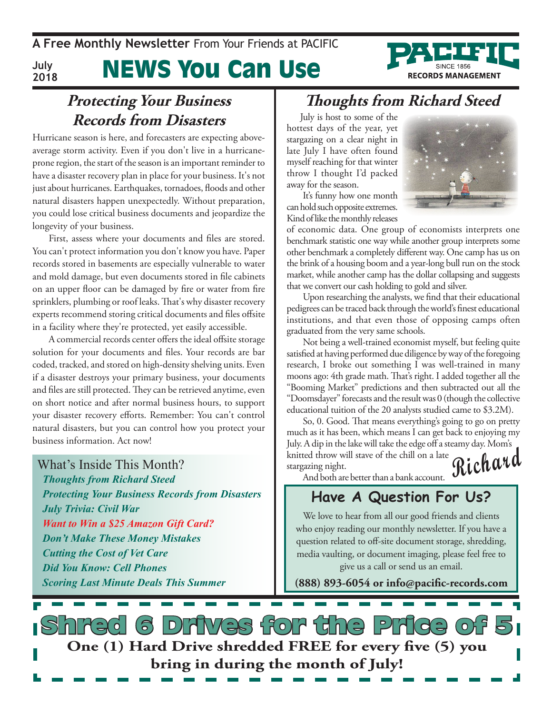**A Free Monthly Newsletter** From Your Friends at PaciFic

**July 2018**

# News You Can Use

## **Protecting Your Business Records from Disasters**

Hurricane season is here, and forecasters are expecting aboveaverage storm activity. Even if you don't live in a hurricaneprone region, the start of the season is an important reminder to have a disaster recovery plan in place for your business. It's not just about hurricanes. Earthquakes, tornadoes, floods and other natural disasters happen unexpectedly. Without preparation, you could lose critical business documents and jeopardize the longevity of your business.

First, assess where your documents and files are stored. You can't protect information you don't know you have. Paper records stored in basements are especially vulnerable to water and mold damage, but even documents stored in file cabinets on an upper floor can be damaged by fire or water from fire sprinklers, plumbing or roof leaks. That's why disaster recovery experts recommend storing critical documents and files offsite in a facility where they're protected, yet easily accessible.

A commercial records center offers the ideal offsite storage solution for your documents and files. Your records are bar coded, tracked, and stored on high-density shelving units. Even if a disaster destroys your primary business, your documents and files are still protected. They can be retrieved anytime, even on short notice and after normal business hours, to support your disaster recovery efforts. Remember: You can't control natural disasters, but you can control how you protect your business information. Act now!

What's Inside This Month? *Thoughts from Richard Steed Protecting Your Business Records from Disasters July Trivia: Civil War Want to Win a \$25 Amazon Gift Card? Don't Make These Money Mistakes Cutting the Cost of Vet Care Did You Know: Cell Phones Scoring Last Minute Deals This Summer*

## **Thoughts from Richard Steed**

July is host to some of the hottest days of the year, yet stargazing on a clear night in late July I have often found myself reaching for that winter throw I thought I'd packed away for the season.



**RECORDS MANAGEMENT** 

It's funny how one month can hold such opposite extremes. Kind of like the monthly releases

of economic data. One group of economists interprets one benchmark statistic one way while another group interprets some other benchmark a completely different way. One camp has us on the brink of a housing boom and a year-long bull run on the stock market, while another camp has the dollar collapsing and suggests that we convert our cash holding to gold and silver.

Upon researching the analysts, we find that their educational pedigrees can be traced back through the world's finest educational institutions, and that even those of opposing camps often graduated from the very same schools.

Not being a well-trained economist myself, but feeling quite satisfied at having performed due diligence by way of the foregoing research, I broke out something I was well-trained in many moons ago: 4th grade math. That's right. I added together all the "Booming Market" predictions and then subtracted out all the "Doomsdayer" forecasts and the result was 0 (though the collective educational tuition of the 20 analysts studied came to \$3.2M).

**Richard** So, 0. Good. That means everything's going to go on pretty much as it has been, which means I can get back to enjoying my July. A dip in the lake will take the edge off a steamy day. Mom's knitted throw will stave of the chill on a late stargazing night.

And both are better than a bank account.

### **Have A Question For Us?**

We love to hear from all our good friends and clients who enjoy reading our monthly newsletter. If you have a question related to off-site document storage, shredding, media vaulting, or document imaging, please feel free to give us a call or send us an email.

**(888) 893-6054 or info@pacific-records.com**

s Drives for the Pric **One (1) Hard Drive shredded FREE for every five (5) you bring in during the month of July!**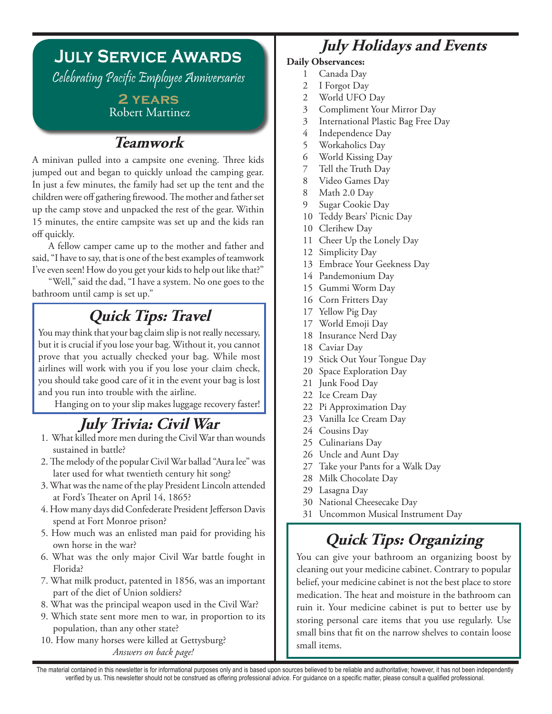# **July Service Awards**

Celebrating Pacific Employee Anniversaries

### **2 years** Robert Martinez

## **Teamwork**

A minivan pulled into a campsite one evening. Three kids jumped out and began to quickly unload the camping gear. In just a few minutes, the family had set up the tent and the children were off gathering firewood. The mother and father set up the camp stove and unpacked the rest of the gear. Within 15 minutes, the entire campsite was set up and the kids ran off quickly.

A fellow camper came up to the mother and father and said, "I have to say, that is one of the best examples of teamwork I've even seen! How do you get your kids to help out like that?"

"Well," said the dad, "I have a system. No one goes to the bathroom until camp is set up."

## **Quick Tips: Travel**

You may think that your bag claim slip is not really necessary, but it is crucial if you lose your bag. Without it, you cannot prove that you actually checked your bag. While most airlines will work with you if you lose your claim check, you should take good care of it in the event your bag is lost and you run into trouble with the airline.

Hanging on to your slip makes luggage recovery faster!

## **July Trivia: Civil War**

- 1. What killed more men during the Civil War than wounds sustained in battle?
- 2. The melody of the popular Civil War ballad "Aura lee" was later used for what twentieth century hit song?
- 3. What was the name of the play President Lincoln attended at Ford's Theater on April 14, 1865?
- 4. How many days did Confederate President Jefferson Davis spend at Fort Monroe prison?
- 5. How much was an enlisted man paid for providing his own horse in the war?
- 6. What was the only major Civil War battle fought in Florida?
- 7. What milk product, patented in 1856, was an important part of the diet of Union soldiers?
- 8. What was the principal weapon used in the Civil War?
- 9. Which state sent more men to war, in proportion to its population, than any other state?
- 10. How many horses were killed at Gettysburg? *Answers on back page!*

## **July Holidays and Events**

- **Daily Observances:**
	- 1 Canada Day
	- 2 I Forgot Day
	- 2 World UFO Day
	- 3 Compliment Your Mirror Day
	- 3 International Plastic Bag Free Day
	- 4 Independence Day
	- 5 Workaholics Day
	- 6 World Kissing Day
	- 7 Tell the Truth Day
	- 8 Video Games Day
	- 8 Math 2.0 Day
	- 9 Sugar Cookie Day
	- 10 Teddy Bears' Picnic Day
	- 10 Clerihew Day
	- 11 Cheer Up the Lonely Day
	- 12 Simplicity Day
	- 13 Embrace Your Geekness Day
	- 14 Pandemonium Day
	- 15 Gummi Worm Day
	- 16 Corn Fritters Day
	- 17 Yellow Pig Day
	- 17 World Emoji Day
	- 18 Insurance Nerd Day
	- 18 Caviar Day
	- 19 Stick Out Your Tongue Day
	- 20 Space Exploration Day
	- 21 Junk Food Day
	- 22 Ice Cream Day
	- 22 Pi Approximation Day
	- 23 Vanilla Ice Cream Day
	- 24 Cousins Day
	- 25 Culinarians Day
	- 26 Uncle and Aunt Day
	- 27 Take your Pants for a Walk Day
	- 28 Milk Chocolate Day
	- 29 Lasagna Day
	- 30 National Cheesecake Day
	- 31 Uncommon Musical Instrument Day

## **Quick Tips: Organizing**

You can give your bathroom an organizing boost by cleaning out your medicine cabinet. Contrary to popular belief, your medicine cabinet is not the best place to store medication. The heat and moisture in the bathroom can ruin it. Your medicine cabinet is put to better use by storing personal care items that you use regularly. Use small bins that fit on the narrow shelves to contain loose small items.

The material contained in this newsletter is for informational purposes only and is based upon sources believed to be reliable and authoritative; however, it has not been independently verified by us. This newsletter should not be construed as offering professional advice. For guidance on a specific matter, please consult a qualified professional.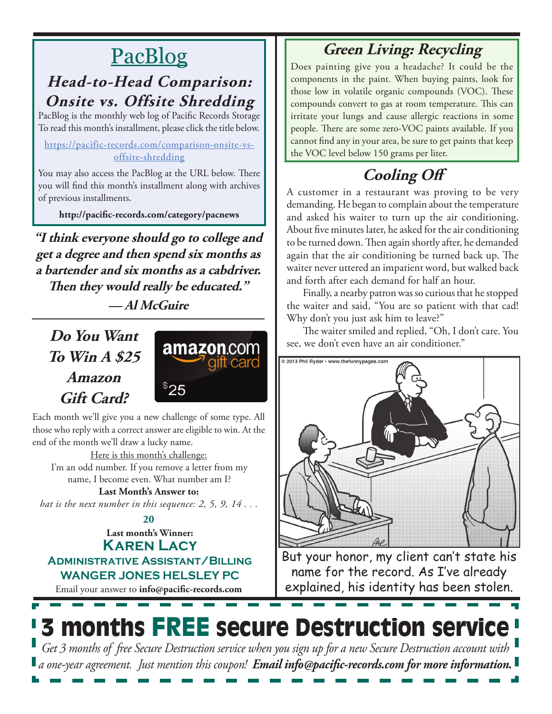# PacBlog

### **Head-to-Head Comparison: Onsite vs. Offsite Shredding** PacBlog is the monthly web log of Pacific Records Storage

To read this month's installment, please click the title below. https://pacific-records.com/comparison-onsite-vs-

offsite-shredding

You may also access the PacBlog at the URL below. There you will find this month's installment along with archives of previous installments.

**http://pacific-records.com/category/pacnews**

**"I think everyone should go to college and get a degree and then spend six months as a bartender and six months as a cabdriver. Then they would really be educated." — Al McGuire**

**Do You Want To Win A \$25 Amazon Gift Card?**



Each month we'll give you a new challenge of some type. All those who reply with a correct answer are eligible to win. At the end of the month we'll draw a lucky name.

Here is this month's challenge: I'm an odd number. If you remove a letter from my name, I become even. What number am I?

**Last Month's Answer to:** 

*hat is the next number in this sequence: 2, 5, 9, 14 . . .*

#### **Last month's Winner: Karen Lacy Administrative Assistant/Billing 20**

**WANGER JONES HELSLEY PC**

Email your answer to **info@pacific-records.com**

## **Green Living: Recycling**

Does painting give you a headache? It could be the components in the paint. When buying paints, look for those low in volatile organic compounds (VOC). These compounds convert to gas at room temperature. This can irritate your lungs and cause allergic reactions in some people. There are some zero-VOC paints available. If you cannot find any in your area, be sure to get paints that keep the VOC level below 150 grams per liter.

# **Cooling Off**

A customer in a restaurant was proving to be very demanding. He began to complain about the temperature and asked his waiter to turn up the air conditioning. About five minutes later, he asked for the air conditioning to be turned down. Then again shortly after, he demanded again that the air conditioning be turned back up. The waiter never uttered an impatient word, but walked back and forth after each demand for half an hour.

Finally, a nearby patron was so curious that he stopped the waiter and said, "You are so patient with that cad! Why don't you just ask him to leave?"

The waiter smiled and replied, "Oh, I don't care. You see, we don't even have an air conditioner."



But your honor, my client can't state his name for the record. As I've already explained, his identity has been stolen.

# **3 months FREE secure Destruction service**

*Get 3 months of free Secure Destruction service when you sign up for a new Secure Destruction account with a one-year agreement. Just mention this coupon! Email info@pacific-records.com for more information.*